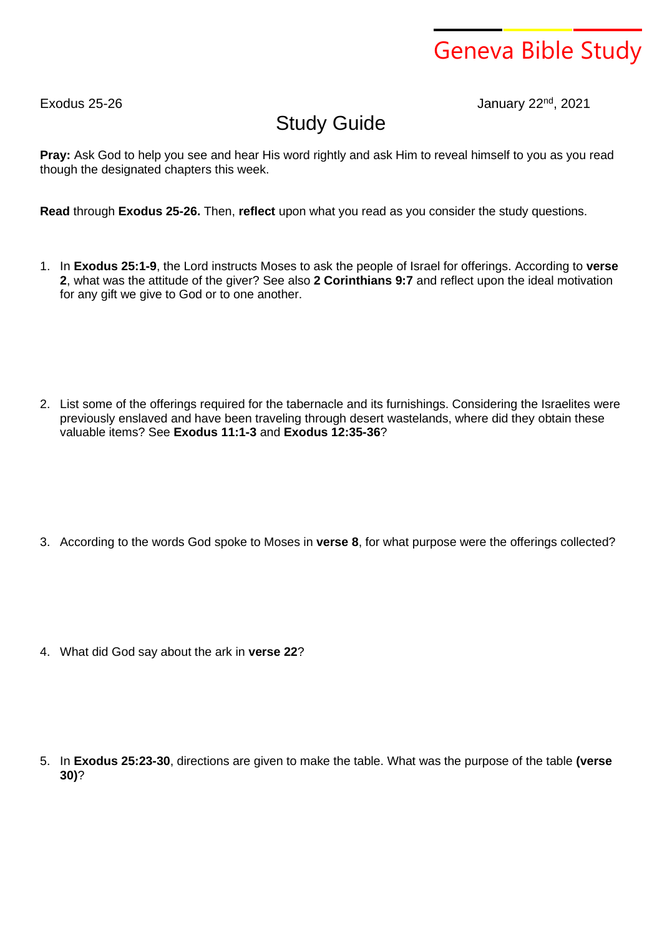## Geneva Bible Study

Exodus 25-26 January 22nd , 2021

## Study Guide

**Pray:** Ask God to help you see and hear His word rightly and ask Him to reveal himself to you as you read though the designated chapters this week.

**Read** through **Exodus 25-26.** Then, **reflect** upon what you read as you consider the study questions.

- 1. In **Exodus 25:1-9**, the Lord instructs Moses to ask the people of Israel for offerings. According to **verse 2**, what was the attitude of the giver? See also **2 Corinthians 9:7** and reflect upon the ideal motivation for any gift we give to God or to one another.
- 2. List some of the offerings required for the tabernacle and its furnishings. Considering the Israelites were previously enslaved and have been traveling through desert wastelands, where did they obtain these valuable items? See **Exodus 11:1-3** and **Exodus 12:35-36**?

3. According to the words God spoke to Moses in **verse 8**, for what purpose were the offerings collected?

4. What did God say about the ark in **verse 22**?

5. In **Exodus 25:23-30**, directions are given to make the table. What was the purpose of the table **(verse 30)**?